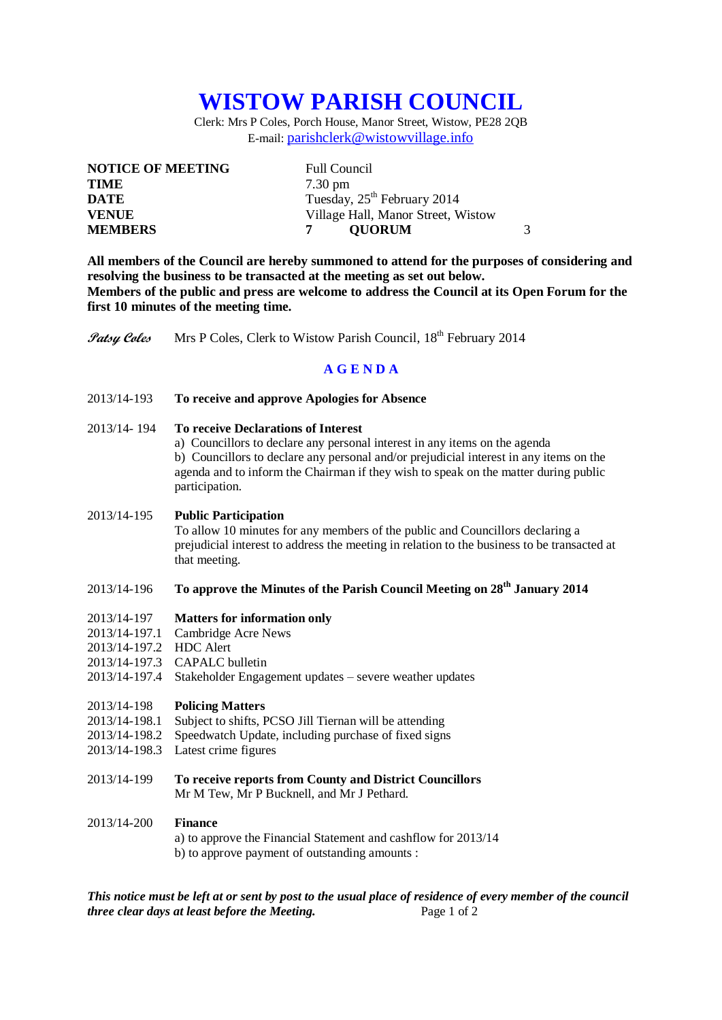# **WISTOW PARISH COUNCIL**

Clerk: Mrs P Coles, Porch House, Manor Street, Wistow, PE28 2QB E-mail: [parishclerk@wistowvillage.info](mailto:parishclerk@wistowvillage.info)

| <b>NOTICE OF MEETING</b> | <b>Full Council</b>                     |
|--------------------------|-----------------------------------------|
| <b>TIME</b>              | $7.30 \text{ pm}$                       |
| DATE                     | Tuesday, 25 <sup>th</sup> February 2014 |
| <b>VENUE</b>             | Village Hall, Manor Street, Wistow      |
| <b>MEMBERS</b>           | <b>OUORUM</b>                           |

**All members of the Council are hereby summoned to attend for the purposes of considering and resolving the business to be transacted at the meeting as set out below. Members of the public and press are welcome to address the Council at its Open Forum for the first 10 minutes of the meeting time.**

**Patsy Coles** Mrs P Coles, Clerk to Wistow Parish Council, 18<sup>th</sup> February 2014

#### **A G E N D A**

- 2013/14-193 **To receive and approve Apologies for Absence**
- 2013/14- 194 **To receive Declarations of Interest**
	- a) Councillors to declare any personal interest in any items on the agenda

b) Councillors to declare any personal and/or prejudicial interest in any items on the agenda and to inform the Chairman if they wish to speak on the matter during public participation.

#### 2013/14-195 **Public Participation**

To allow 10 minutes for any members of the public and Councillors declaring a prejudicial interest to address the meeting in relation to the business to be transacted at that meeting.

## 2013/14-196 **To approve the Minutes of the Parish Council Meeting on 28th January 2014**

- 2013/14-197 **Matters for information only**
- 2013/14-197.1 Cambridge Acre News
- 2013/14-197.2 HDC Alert
- 2013/14-197.3 CAPALC bulletin
- 2013/14-197.4 Stakeholder Engagement updates severe weather updates

#### 2013/14-198 **Policing Matters**

- 2013/14-198.1 Subject to shifts, PCSO Jill Tiernan will be attending
- 2013/14-198.2 Speedwatch Update, including purchase of fixed signs
- 2013/14-198.3 Latest crime figures
- 2013/14-199 **To receive reports from County and District Councillors** Mr M Tew, Mr P Bucknell, and Mr J Pethard.

#### 2013/14-200 **Finance**

a) to approve the Financial Statement and cashflow for 2013/14 b) to approve payment of outstanding amounts :

*This notice must be left at or sent by post to the usual place of residence of every member of the council three clear days at least before the Meeting.* Page 1 of 2